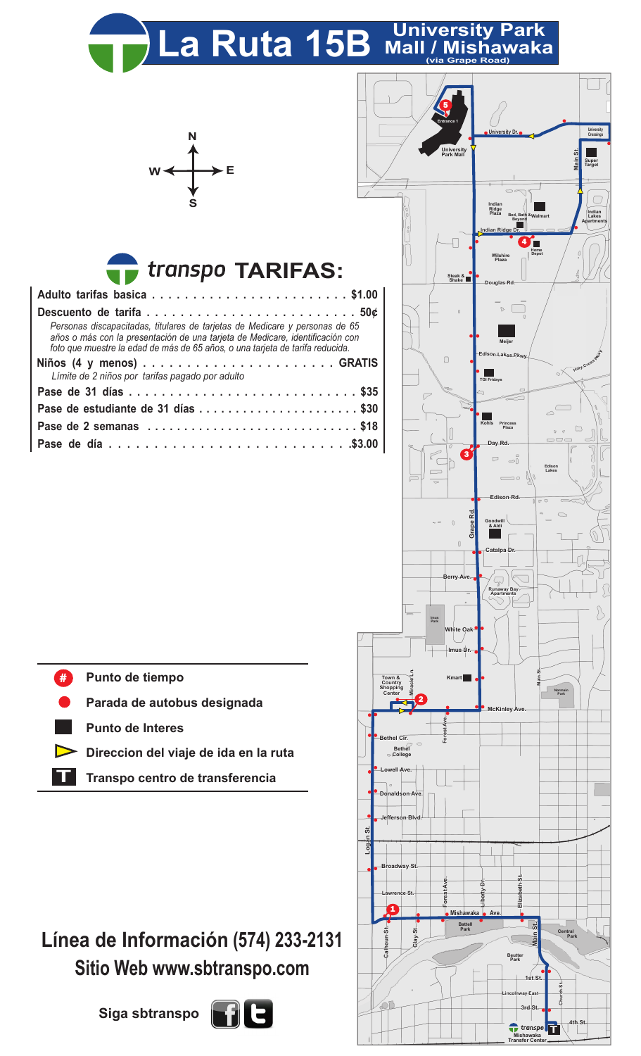## La Ruta 15B Mall / Mishawaka



## **TARIFAS:**

| Personas discapacitadas, titulares de tarjetas de Medicare y personas de 65<br>años o más con la presentación de una tarjeta de Medicare, identificación con<br>foto que muestre la edad de más de 65 años, o una tarjeta de tarifa reducida. |  |  |  |  |  |  |  |  |  |
|-----------------------------------------------------------------------------------------------------------------------------------------------------------------------------------------------------------------------------------------------|--|--|--|--|--|--|--|--|--|
|                                                                                                                                                                                                                                               |  |  |  |  |  |  |  |  |  |
| Límite de 2 niños por tarifas pagado por adulto                                                                                                                                                                                               |  |  |  |  |  |  |  |  |  |
|                                                                                                                                                                                                                                               |  |  |  |  |  |  |  |  |  |
| Pase de estudiante de 31 días \$30                                                                                                                                                                                                            |  |  |  |  |  |  |  |  |  |
| Pase de 2 semanas \$18                                                                                                                                                                                                                        |  |  |  |  |  |  |  |  |  |
|                                                                                                                                                                                                                                               |  |  |  |  |  |  |  |  |  |



**Mishawaka Transfer Center**

**T**

**4th St.**

- **Punto de tiempo** #
- **Parada de autobus designada**
- **Punto de Interes**
- **Direccion del viaje de ida en la ruta**
- **T Transpo centro de transferencia**

## **Línea de Información (574) 233-2131 Sitio Web www.sbtranspo.com**

**Siga sbtranspo**